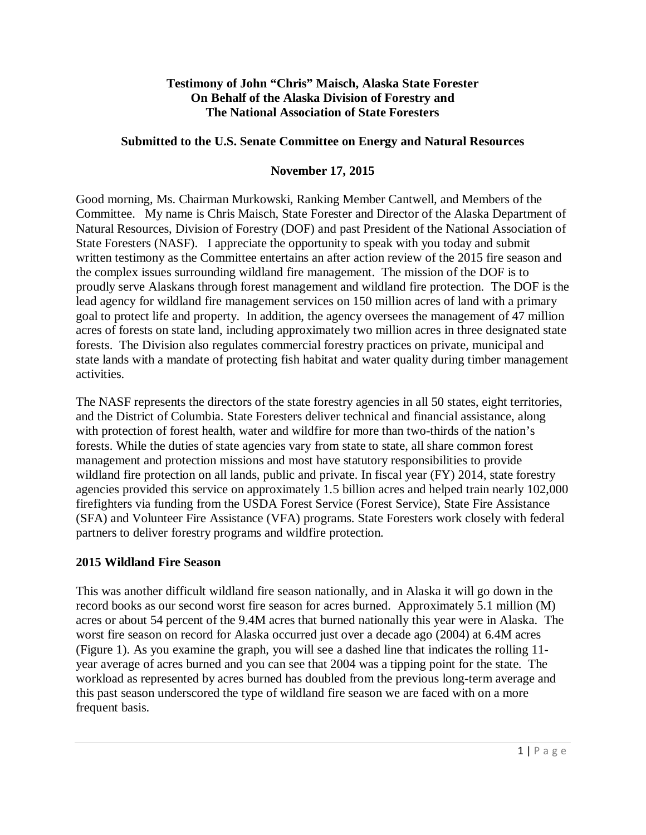#### **Testimony of John "Chris" Maisch, Alaska State Forester On Behalf of the Alaska Division of Forestry and The National Association of State Foresters**

#### **Submitted to the U.S. Senate Committee on Energy and Natural Resources**

## **November 17, 2015**

Good morning, Ms. Chairman Murkowski, Ranking Member Cantwell*,* and Members of the Committee. My name is Chris Maisch, State Forester and Director of the Alaska Department of Natural Resources, Division of Forestry (DOF) and past President of the National Association of State Foresters (NASF). I appreciate the opportunity to speak with you today and submit written testimony as the Committee entertains an after action review of the 2015 fire season and the complex issues surrounding wildland fire management. The mission of the DOF is to proudly serve Alaskans through forest management and wildland fire protection. The DOF is the lead agency for wildland fire management services on 150 million acres of land with a primary goal to protect life and property. In addition, the agency oversees the management of 47 million acres of forests on state land, including approximately two million acres in three designated state forests. The Division also regulates commercial forestry practices on private, municipal and state lands with a mandate of protecting fish habitat and water quality during timber management activities.

The NASF represents the directors of the state forestry agencies in all 50 states, eight territories, and the District of Columbia. State Foresters deliver technical and financial assistance, along with protection of forest health, water and wildfire for more than two-thirds of the nation's forests. While the duties of state agencies vary from state to state, all share common forest management and protection missions and most have statutory responsibilities to provide wildland fire protection on all lands, public and private. In fiscal year (FY) 2014, state forestry agencies provided this service on approximately 1.5 billion acres and helped train nearly 102,000 firefighters via funding from the USDA Forest Service (Forest Service), State Fire Assistance (SFA) and Volunteer Fire Assistance (VFA) programs. State Foresters work closely with federal partners to deliver forestry programs and wildfire protection.

#### **2015 Wildland Fire Season**

This was another difficult wildland fire season nationally, and in Alaska it will go down in the record books as our second worst fire season for acres burned. Approximately 5.1 million (M) acres or about 54 percent of the 9.4M acres that burned nationally this year were in Alaska. The worst fire season on record for Alaska occurred just over a decade ago (2004) at 6.4M acres (Figure 1). As you examine the graph, you will see a dashed line that indicates the rolling 11 year average of acres burned and you can see that 2004 was a tipping point for the state. The workload as represented by acres burned has doubled from the previous long-term average and this past season underscored the type of wildland fire season we are faced with on a more frequent basis.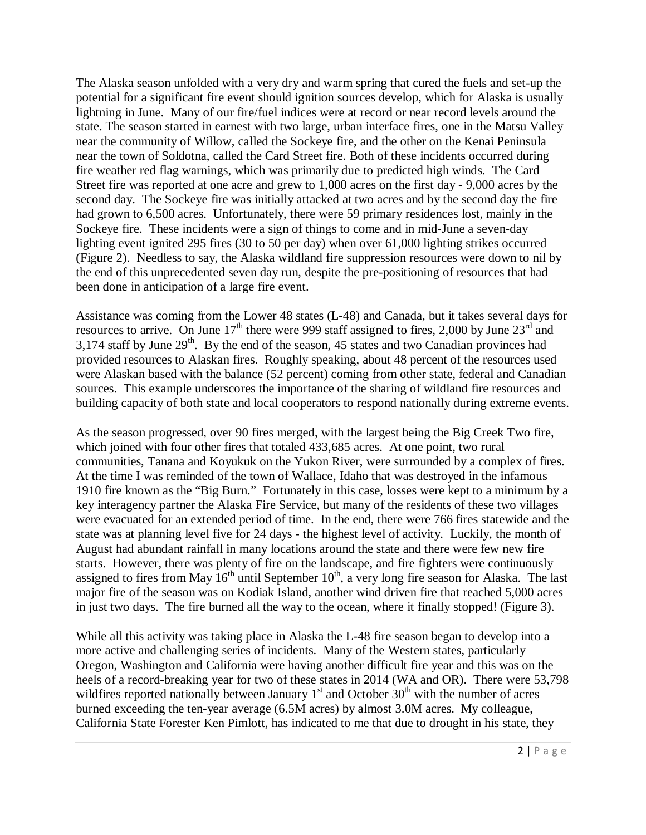The Alaska season unfolded with a very dry and warm spring that cured the fuels and set-up the potential for a significant fire event should ignition sources develop, which for Alaska is usually lightning in June. Many of our fire/fuel indices were at record or near record levels around the state. The season started in earnest with two large, urban interface fires, one in the Matsu Valley near the community of Willow, called the Sockeye fire, and the other on the Kenai Peninsula near the town of Soldotna, called the Card Street fire. Both of these incidents occurred during fire weather red flag warnings, which was primarily due to predicted high winds. The Card Street fire was reported at one acre and grew to 1,000 acres on the first day - 9,000 acres by the second day. The Sockeye fire was initially attacked at two acres and by the second day the fire had grown to 6,500 acres. Unfortunately, there were 59 primary residences lost, mainly in the Sockeye fire. These incidents were a sign of things to come and in mid-June a seven-day lighting event ignited 295 fires (30 to 50 per day) when over 61,000 lighting strikes occurred (Figure 2). Needless to say, the Alaska wildland fire suppression resources were down to nil by the end of this unprecedented seven day run, despite the pre-positioning of resources that had been done in anticipation of a large fire event.

Assistance was coming from the Lower 48 states (L-48) and Canada, but it takes several days for resources to arrive. On June  $17<sup>th</sup>$  there were 999 staff assigned to fires, 2,000 by June  $23<sup>rd</sup>$  and  $3,174$  staff by June  $29<sup>th</sup>$ . By the end of the season, 45 states and two Canadian provinces had provided resources to Alaskan fires. Roughly speaking, about 48 percent of the resources used were Alaskan based with the balance (52 percent) coming from other state, federal and Canadian sources. This example underscores the importance of the sharing of wildland fire resources and building capacity of both state and local cooperators to respond nationally during extreme events.

As the season progressed, over 90 fires merged, with the largest being the Big Creek Two fire, which joined with four other fires that totaled 433,685 acres. At one point, two rural communities, Tanana and Koyukuk on the Yukon River, were surrounded by a complex of fires. At the time I was reminded of the town of Wallace, Idaho that was destroyed in the infamous 1910 fire known as the "Big Burn." Fortunately in this case, losses were kept to a minimum by a key interagency partner the Alaska Fire Service, but many of the residents of these two villages were evacuated for an extended period of time. In the end, there were 766 fires statewide and the state was at planning level five for 24 days - the highest level of activity. Luckily, the month of August had abundant rainfall in many locations around the state and there were few new fire starts. However, there was plenty of fire on the landscape, and fire fighters were continuously assigned to fires from May  $16<sup>th</sup>$  until September  $10<sup>th</sup>$ , a very long fire season for Alaska. The last major fire of the season was on Kodiak Island, another wind driven fire that reached 5,000 acres in just two days. The fire burned all the way to the ocean, where it finally stopped! (Figure 3).

While all this activity was taking place in Alaska the L-48 fire season began to develop into a more active and challenging series of incidents. Many of the Western states, particularly Oregon, Washington and California were having another difficult fire year and this was on the heels of a record-breaking year for two of these states in 2014 (WA and OR). There were 53,798 wildfires reported nationally between January  $1<sup>st</sup>$  and October  $30<sup>th</sup>$  with the number of acres burned exceeding the ten-year average (6.5M acres) by almost 3.0M acres. My colleague, California State Forester Ken Pimlott, has indicated to me that due to drought in his state, they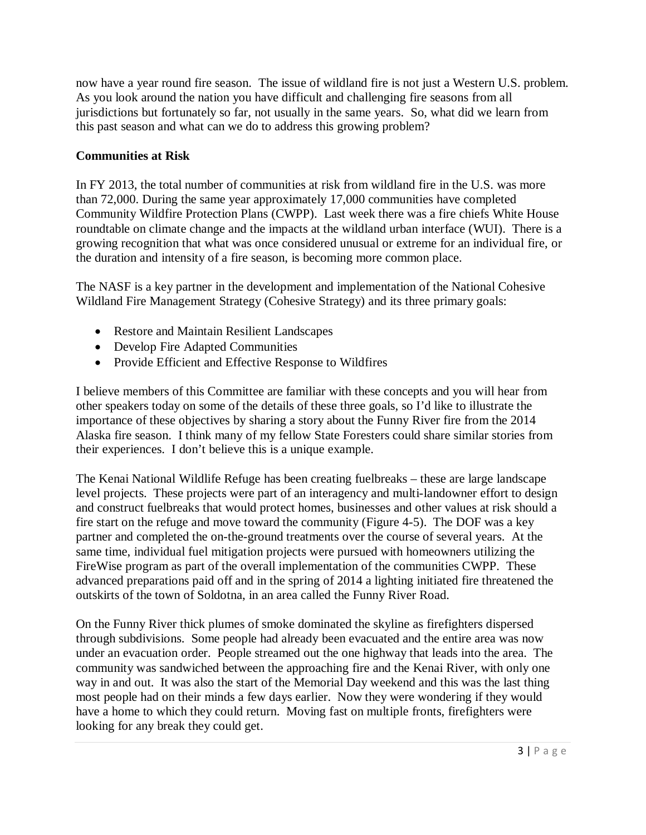now have a year round fire season. The issue of wildland fire is not just a Western U.S. problem. As you look around the nation you have difficult and challenging fire seasons from all jurisdictions but fortunately so far, not usually in the same years. So, what did we learn from this past season and what can we do to address this growing problem?

# **Communities at Risk**

In FY 2013, the total number of communities at risk from wildland fire in the U.S. was more than 72,000. During the same year approximately 17,000 communities have completed Community Wildfire Protection Plans (CWPP). Last week there was a fire chiefs White House roundtable on climate change and the impacts at the wildland urban interface (WUI). There is a growing recognition that what was once considered unusual or extreme for an individual fire, or the duration and intensity of a fire season, is becoming more common place.

The NASF is a key partner in the development and implementation of the National Cohesive Wildland Fire Management Strategy (Cohesive Strategy) and its three primary goals:

- Restore and Maintain Resilient Landscapes
- Develop Fire Adapted Communities
- Provide Efficient and Effective Response to Wildfires

I believe members of this Committee are familiar with these concepts and you will hear from other speakers today on some of the details of these three goals, so I'd like to illustrate the importance of these objectives by sharing a story about the Funny River fire from the 2014 Alaska fire season. I think many of my fellow State Foresters could share similar stories from their experiences. I don't believe this is a unique example.

The Kenai National Wildlife Refuge has been creating fuelbreaks – these are large landscape level projects. These projects were part of an interagency and multi-landowner effort to design and construct fuelbreaks that would protect homes, businesses and other values at risk should a fire start on the refuge and move toward the community (Figure 4-5). The DOF was a key partner and completed the on-the-ground treatments over the course of several years. At the same time, individual fuel mitigation projects were pursued with homeowners utilizing the FireWise program as part of the overall implementation of the communities CWPP. These advanced preparations paid off and in the spring of 2014 a lighting initiated fire threatened the outskirts of the town of Soldotna, in an area called the Funny River Road.

On the Funny River thick plumes of smoke dominated the skyline as firefighters dispersed through subdivisions. Some people had already been evacuated and the entire area was now under an evacuation order. People streamed out the one highway that leads into the area. The community was sandwiched between the approaching fire and the Kenai River, with only one way in and out. It was also the start of the Memorial Day weekend and this was the last thing most people had on their minds a few days earlier. Now they were wondering if they would have a home to which they could return. Moving fast on multiple fronts, firefighters were looking for any break they could get.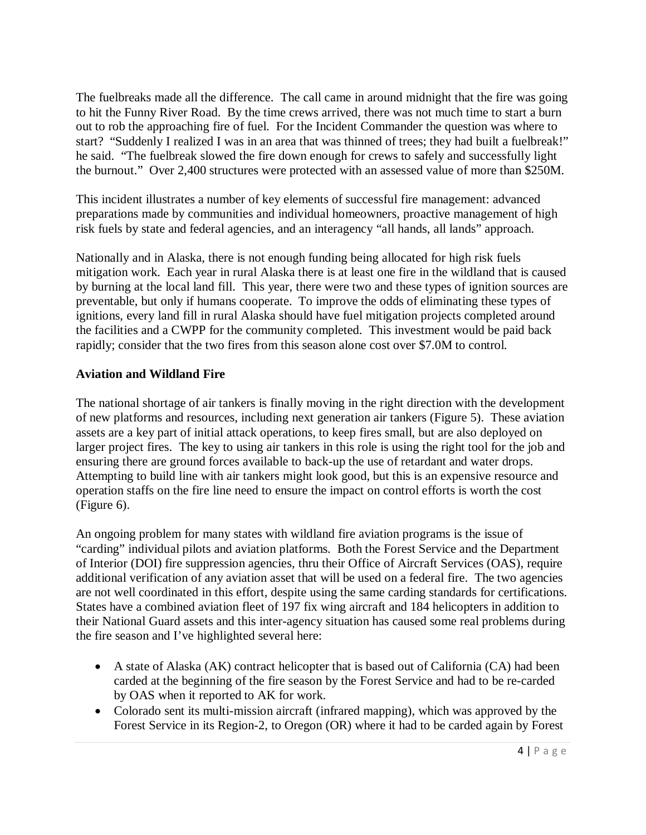The fuelbreaks made all the difference. The call came in around midnight that the fire was going to hit the Funny River Road. By the time crews arrived, there was not much time to start a burn out to rob the approaching fire of fuel. For the Incident Commander the question was where to start? "Suddenly I realized I was in an area that was thinned of trees; they had built a fuelbreak!" he said. "The fuelbreak slowed the fire down enough for crews to safely and successfully light the burnout." Over 2,400 structures were protected with an assessed value of more than \$250M.

This incident illustrates a number of key elements of successful fire management: advanced preparations made by communities and individual homeowners, proactive management of high risk fuels by state and federal agencies, and an interagency "all hands, all lands" approach.

Nationally and in Alaska, there is not enough funding being allocated for high risk fuels mitigation work. Each year in rural Alaska there is at least one fire in the wildland that is caused by burning at the local land fill. This year, there were two and these types of ignition sources are preventable, but only if humans cooperate. To improve the odds of eliminating these types of ignitions, every land fill in rural Alaska should have fuel mitigation projects completed around the facilities and a CWPP for the community completed. This investment would be paid back rapidly; consider that the two fires from this season alone cost over \$7.0M to control.

#### **Aviation and Wildland Fire**

The national shortage of air tankers is finally moving in the right direction with the development of new platforms and resources, including next generation air tankers (Figure 5). These aviation assets are a key part of initial attack operations, to keep fires small, but are also deployed on larger project fires. The key to using air tankers in this role is using the right tool for the job and ensuring there are ground forces available to back-up the use of retardant and water drops. Attempting to build line with air tankers might look good, but this is an expensive resource and operation staffs on the fire line need to ensure the impact on control efforts is worth the cost (Figure 6).

An ongoing problem for many states with wildland fire aviation programs is the issue of "carding" individual pilots and aviation platforms. Both the Forest Service and the Department of Interior (DOI) fire suppression agencies, thru their Office of Aircraft Services (OAS), require additional verification of any aviation asset that will be used on a federal fire. The two agencies are not well coordinated in this effort, despite using the same carding standards for certifications. States have a combined aviation fleet of 197 fix wing aircraft and 184 helicopters in addition to their National Guard assets and this inter-agency situation has caused some real problems during the fire season and I've highlighted several here:

- A state of Alaska (AK) contract helicopter that is based out of California (CA) had been carded at the beginning of the fire season by the Forest Service and had to be re-carded by OAS when it reported to AK for work.
- Colorado sent its multi-mission aircraft (infrared mapping), which was approved by the Forest Service in its Region-2, to Oregon (OR) where it had to be carded again by Forest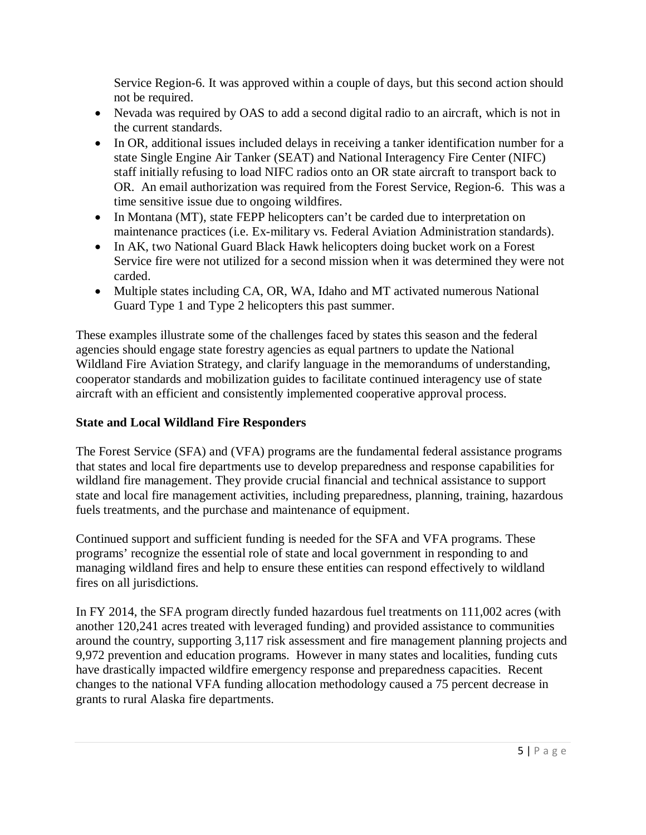Service Region-6. It was approved within a couple of days, but this second action should not be required.

- Nevada was required by OAS to add a second digital radio to an aircraft, which is not in the current standards.
- In OR, additional issues included delays in receiving a tanker identification number for a state Single Engine Air Tanker (SEAT) and National Interagency Fire Center (NIFC) staff initially refusing to load NIFC radios onto an OR state aircraft to transport back to OR. An email authorization was required from the Forest Service, Region-6. This was a time sensitive issue due to ongoing wildfires.
- In Montana (MT), state FEPP helicopters can't be carded due to interpretation on maintenance practices (i.e. Ex-military vs. Federal Aviation Administration standards).
- In AK, two National Guard Black Hawk helicopters doing bucket work on a Forest Service fire were not utilized for a second mission when it was determined they were not carded.
- Multiple states including CA, OR, WA, Idaho and MT activated numerous National Guard Type 1 and Type 2 helicopters this past summer.

These examples illustrate some of the challenges faced by states this season and the federal agencies should engage state forestry agencies as equal partners to update the National Wildland Fire Aviation Strategy, and clarify language in the memorandums of understanding, cooperator standards and mobilization guides to facilitate continued interagency use of state aircraft with an efficient and consistently implemented cooperative approval process.

# **State and Local Wildland Fire Responders**

The Forest Service (SFA) and (VFA) programs are the fundamental federal assistance programs that states and local fire departments use to develop preparedness and response capabilities for wildland fire management. They provide crucial financial and technical assistance to support state and local fire management activities, including preparedness, planning, training, hazardous fuels treatments, and the purchase and maintenance of equipment.

Continued support and sufficient funding is needed for the SFA and VFA programs. These programs' recognize the essential role of state and local government in responding to and managing wildland fires and help to ensure these entities can respond effectively to wildland fires on all jurisdictions.

In FY 2014, the SFA program directly funded hazardous fuel treatments on 111,002 acres (with another 120,241 acres treated with leveraged funding) and provided assistance to communities around the country, supporting 3,117 risk assessment and fire management planning projects and 9,972 prevention and education programs. However in many states and localities, funding cuts have drastically impacted wildfire emergency response and preparedness capacities. Recent changes to the national VFA funding allocation methodology caused a 75 percent decrease in grants to rural Alaska fire departments.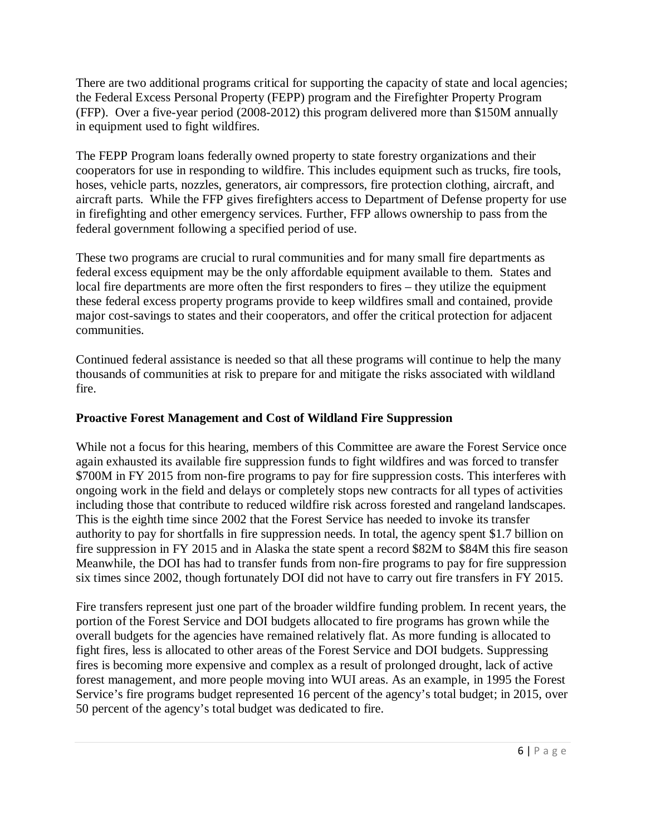There are two additional programs critical for supporting the capacity of state and local agencies; the Federal Excess Personal Property (FEPP) program and the Firefighter Property Program (FFP). Over a five-year period (2008-2012) this program delivered more than \$150M annually in equipment used to fight wildfires.

The FEPP Program loans federally owned property to state forestry organizations and their cooperators for use in responding to wildfire. This includes equipment such as trucks, fire tools, hoses, vehicle parts, nozzles, generators, air compressors, fire protection clothing, aircraft, and aircraft parts. While the FFP gives firefighters access to Department of Defense property for use in firefighting and other emergency services. Further, FFP allows ownership to pass from the federal government following a specified period of use.

These two programs are crucial to rural communities and for many small fire departments as federal excess equipment may be the only affordable equipment available to them. States and local fire departments are more often the first responders to fires – they utilize the equipment these federal excess property programs provide to keep wildfires small and contained, provide major cost-savings to states and their cooperators, and offer the critical protection for adjacent communities.

Continued federal assistance is needed so that all these programs will continue to help the many thousands of communities at risk to prepare for and mitigate the risks associated with wildland fire.

## **Proactive Forest Management and Cost of Wildland Fire Suppression**

While not a focus for this hearing, members of this Committee are aware the Forest Service once again exhausted its available fire suppression funds to fight wildfires and was forced to transfer \$700M in FY 2015 from non-fire programs to pay for fire suppression costs. This interferes with ongoing work in the field and delays or completely stops new contracts for all types of activities including those that contribute to reduced wildfire risk across forested and rangeland landscapes. This is the eighth time since 2002 that the Forest Service has needed to invoke its transfer authority to pay for shortfalls in fire suppression needs. In total, the agency spent \$1.7 billion on fire suppression in FY 2015 and in Alaska the state spent a record \$82M to \$84M this fire season Meanwhile, the DOI has had to transfer funds from non-fire programs to pay for fire suppression six times since 2002, though fortunately DOI did not have to carry out fire transfers in FY 2015.

Fire transfers represent just one part of the broader wildfire funding problem. In recent years, the portion of the Forest Service and DOI budgets allocated to fire programs has grown while the overall budgets for the agencies have remained relatively flat. As more funding is allocated to fight fires, less is allocated to other areas of the Forest Service and DOI budgets. Suppressing fires is becoming more expensive and complex as a result of prolonged drought, lack of active forest management, and more people moving into WUI areas. As an example, in 1995 the Forest Service's fire programs budget represented 16 percent of the agency's total budget; in 2015, over 50 percent of the agency's total budget was dedicated to fire.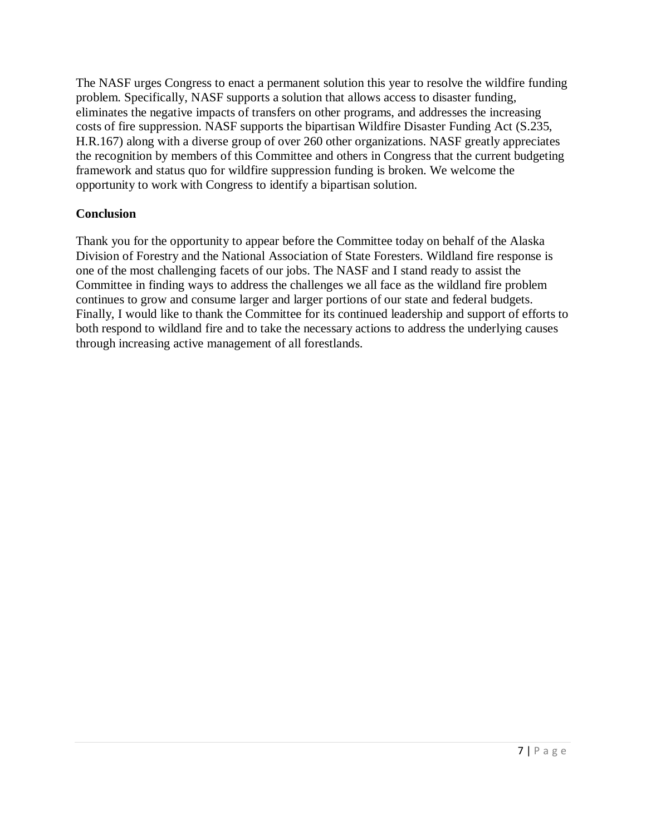The NASF urges Congress to enact a permanent solution this year to resolve the wildfire funding problem. Specifically, NASF supports a solution that allows access to disaster funding, eliminates the negative impacts of transfers on other programs, and addresses the increasing costs of fire suppression. NASF supports the bipartisan Wildfire Disaster Funding Act (S.235, H.R.167) along with a diverse group of over 260 other organizations. NASF greatly appreciates the recognition by members of this Committee and others in Congress that the current budgeting framework and status quo for wildfire suppression funding is broken. We welcome the opportunity to work with Congress to identify a bipartisan solution.

#### **Conclusion**

Thank you for the opportunity to appear before the Committee today on behalf of the Alaska Division of Forestry and the National Association of State Foresters. Wildland fire response is one of the most challenging facets of our jobs. The NASF and I stand ready to assist the Committee in finding ways to address the challenges we all face as the wildland fire problem continues to grow and consume larger and larger portions of our state and federal budgets. Finally, I would like to thank the Committee for its continued leadership and support of efforts to both respond to wildland fire and to take the necessary actions to address the underlying causes through increasing active management of all forestlands.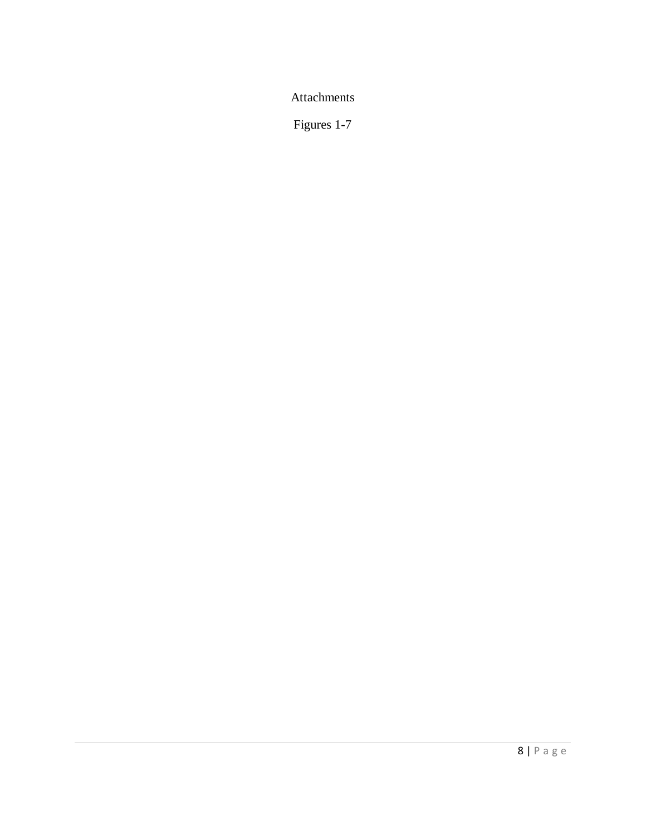Attachments

Figures 1-7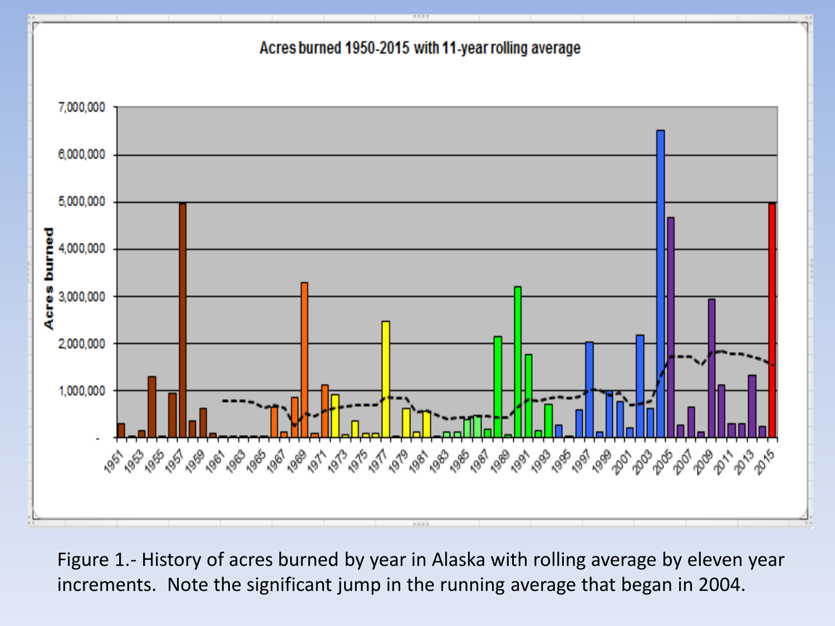# Acres burned 1950-2015 with 11-year rolling average



Figure 1.- History of acres burned by year in Alaska with rolling average by eleven year increments. Note the significant jump in the running average that began in 2004.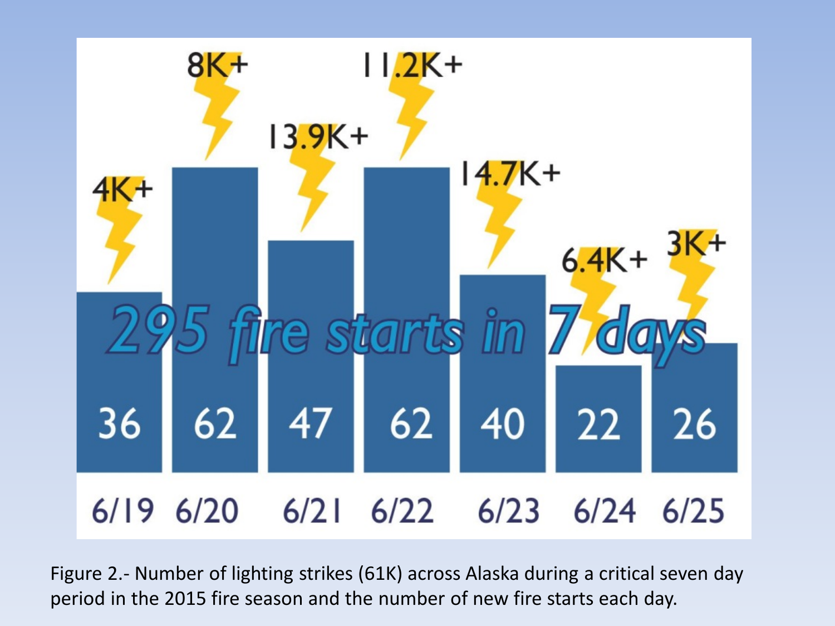

Figure 2.- Number of lighting strikes (61K) across Alaska during a critical seven day period in the 2015 fire season and the number of new fire starts each day.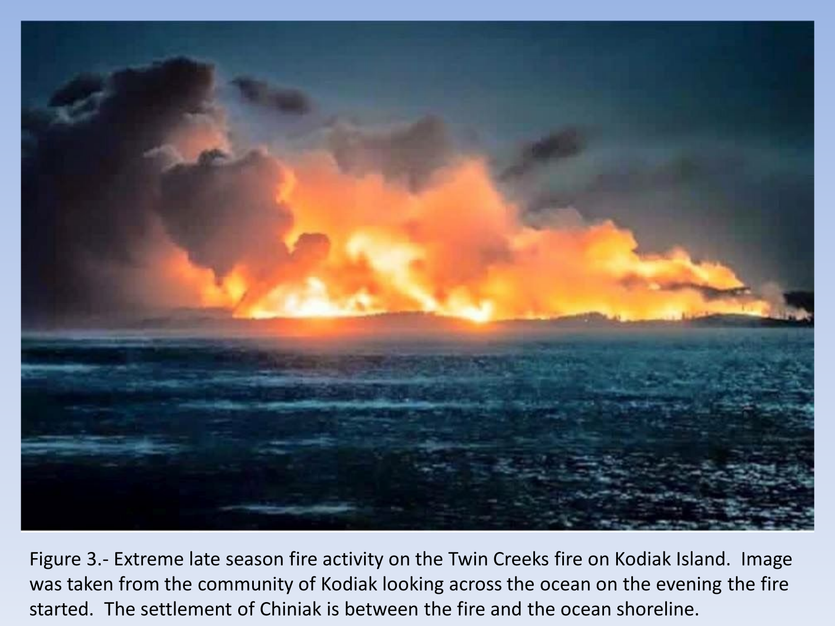

Figure 3.- Extreme late season fire activity on the Twin Creeks fire on Kodiak Island. Image was taken from the community of Kodiak looking across the ocean on the evening the fire started. The settlement of Chiniak is between the fire and the ocean shoreline.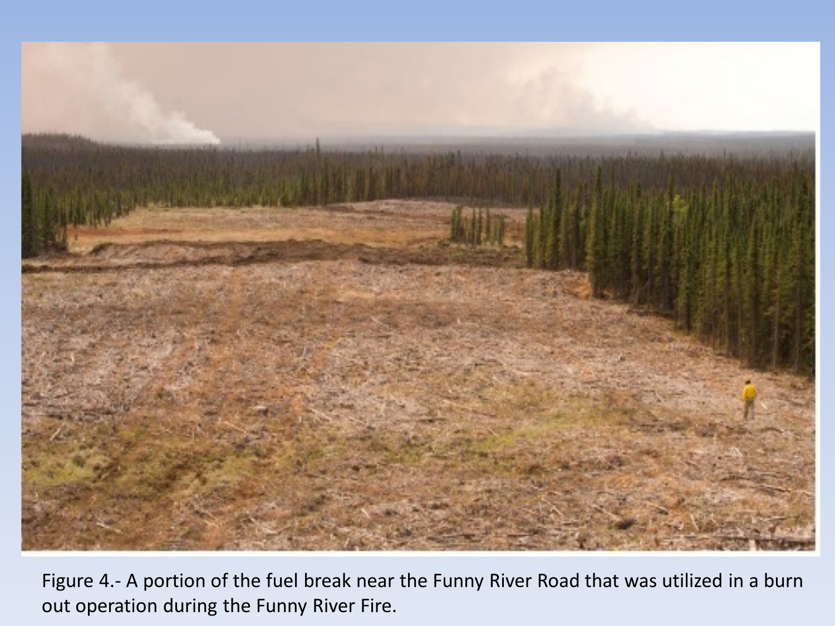

Figure 4.- A portion of the fuel break near the Funny River Road that was utilized in a burn out operation during the Funny River Fire.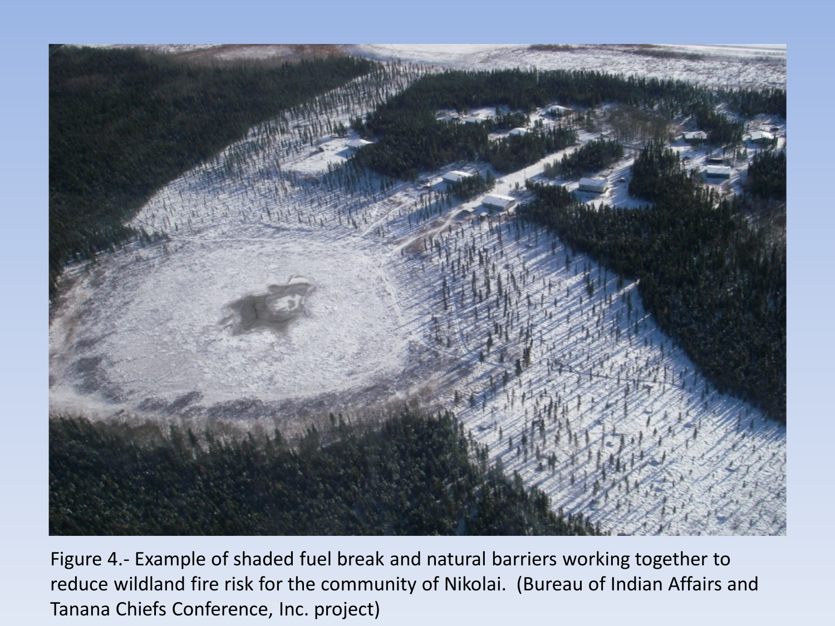

Figure 4.- Example of shaded fuel break and natural barriers working together to reduce wildland fire risk for the community of Nikolai. (Bureau of Indian Affairs and Tanana Chiefs Conference, Inc. project)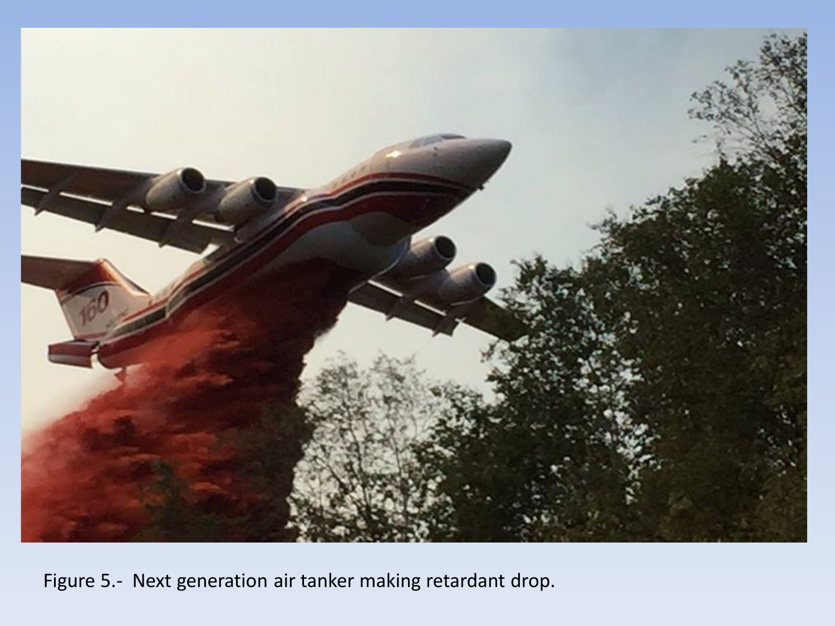

Figure 5.- Next generation air tanker making retardant drop.